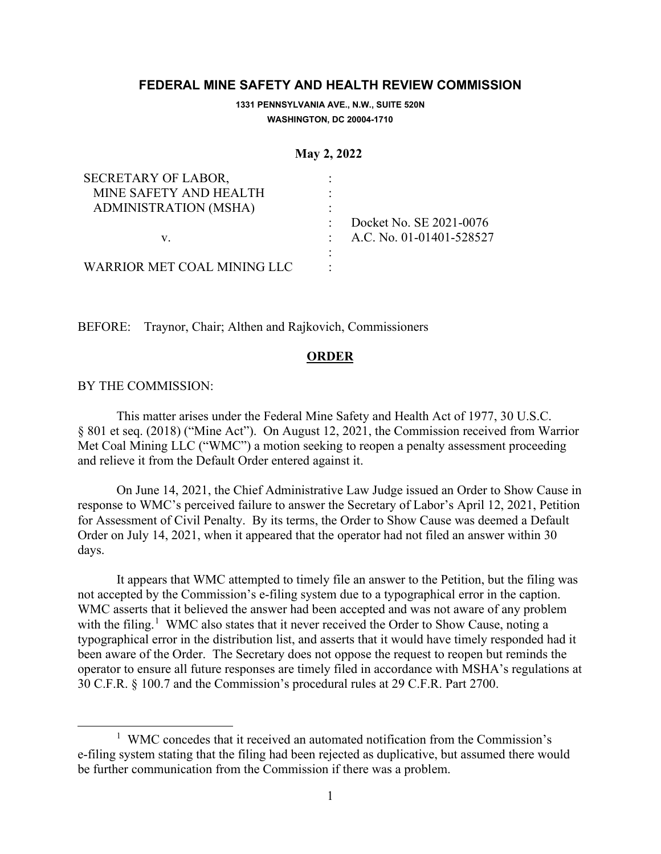# **FEDERAL MINE SAFETY AND HEALTH REVIEW COMMISSION**

**1331 PENNSYLVANIA AVE., N.W., SUITE 520N WASHINGTON, DC 20004-1710**

#### **May 2, 2022**

| SECRETARY OF LABOR,         |   |                            |
|-----------------------------|---|----------------------------|
| MINE SAFETY AND HEALTH      |   |                            |
| ADMINISTRATION (MSHA)       |   |                            |
|                             |   | Docket No. SE 2021-0076    |
| V.                          |   | : A.C. No. 01-01401-528527 |
|                             | ٠ |                            |
| WARRIOR MET COAL MINING LLC |   |                            |

BEFORE: Traynor, Chair; Althen and Rajkovich, Commissioners

### **ORDER**

## BY THE COMMISSION:

This matter arises under the Federal Mine Safety and Health Act of 1977, 30 U.S.C. § 801 et seq. (2018) ("Mine Act"). On August 12, 2021, the Commission received from Warrior Met Coal Mining LLC ("WMC") a motion seeking to reopen a penalty assessment proceeding and relieve it from the Default Order entered against it.

On June 14, 2021, the Chief Administrative Law Judge issued an Order to Show Cause in response to WMC's perceived failure to answer the Secretary of Labor's April 12, 2021, Petition for Assessment of Civil Penalty. By its terms, the Order to Show Cause was deemed a Default Order on July 14, 2021, when it appeared that the operator had not filed an answer within 30 days.

It appears that WMC attempted to timely file an answer to the Petition, but the filing was not accepted by the Commission's e-filing system due to a typographical error in the caption. WMC asserts that it believed the answer had been accepted and was not aware of any problem with the filing.<sup>[1](#page-0-0)</sup> WMC also states that it never received the Order to Show Cause, noting a typographical error in the distribution list, and asserts that it would have timely responded had it been aware of the Order. The Secretary does not oppose the request to reopen but reminds the operator to ensure all future responses are timely filed in accordance with MSHA's regulations at 30 C.F.R. § 100.7 and the Commission's procedural rules at 29 C.F.R. Part 2700.

<span id="page-0-0"></span><sup>&</sup>lt;sup>1</sup> WMC concedes that it received an automated notification from the Commission's e-filing system stating that the filing had been rejected as duplicative, but assumed there would be further communication from the Commission if there was a problem.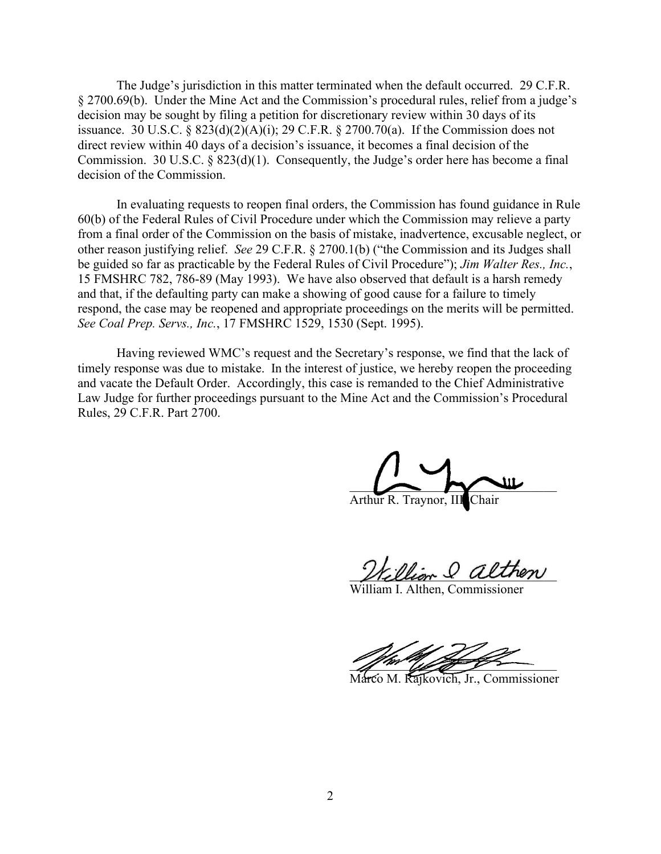The Judge's jurisdiction in this matter terminated when the default occurred. 29 C.F.R. § 2700.69(b). Under the Mine Act and the Commission's procedural rules, relief from a judge's decision may be sought by filing a petition for discretionary review within 30 days of its issuance. 30 U.S.C. §  $823(d)(2)(A)(i)$ ; 29 C.F.R. § 2700.70(a). If the Commission does not direct review within 40 days of a decision's issuance, it becomes a final decision of the Commission. 30 U.S.C. § 823(d)(1). Consequently, the Judge's order here has become a final decision of the Commission.

In evaluating requests to reopen final orders, the Commission has found guidance in Rule 60(b) of the Federal Rules of Civil Procedure under which the Commission may relieve a party from a final order of the Commission on the basis of mistake, inadvertence, excusable neglect, or other reason justifying relief. *See* 29 C.F.R. § 2700.1(b) ("the Commission and its Judges shall be guided so far as practicable by the Federal Rules of Civil Procedure"); *Jim Walter Res., Inc.*, 15 FMSHRC 782, 786-89 (May 1993). We have also observed that default is a harsh remedy and that, if the defaulting party can make a showing of good cause for a failure to timely respond, the case may be reopened and appropriate proceedings on the merits will be permitted. *See Coal Prep. Servs., Inc.*, 17 FMSHRC 1529, 1530 (Sept. 1995).

Having reviewed WMC's request and the Secretary's response, we find that the lack of timely response was due to mistake. In the interest of justice, we hereby reopen the proceeding and vacate the Default Order. Accordingly, this case is remanded to the Chief Administrative Law Judge for further proceedings pursuant to the Mine Act and the Commission's Procedural Rules, 29 C.F.R. Part 2700.

 $\sim$   $\sim$   $\sim$   $\sim$ Arthur R. Traynor, II

William & alinen

William I. Althen, Commissioner

 $\mathcal{L}$  and the same of the same of the same of the same of the same of the same of the same of the same of the same of the same of the same of the same of the same of the same of the same of the same of the same of the

Marco M. Rajkovich, Jr., Commissioner